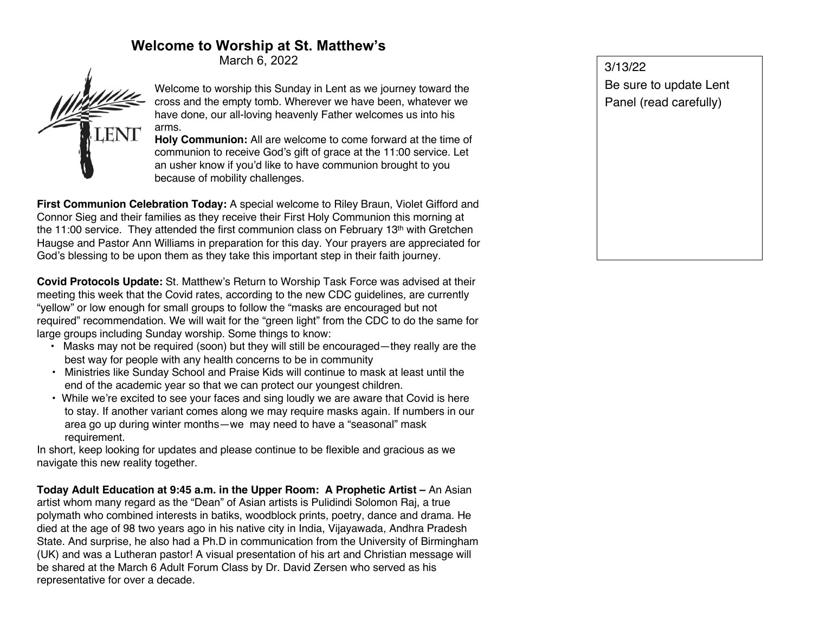## **Welcome to Worship at St. Matthew's**

March 6, 2022



Welcome to worship this Sunday in Lent as we journey toward the cross and the empty tomb. Wherever we have been, whatever we have done, our all-loving heavenly Father welcomes us into his arms.

**Holy Communion:** All are welcome to come forward at the time of communion to receive God's gift of grace at the 11:00 service. Let an usher know if you'd like to have communion brought to you because of mobility challenges.

**First Communion Celebration Today:** A special welcome to Riley Braun, Violet Gifford and Connor Sieg and their families as they receive their First Holy Communion this morning at the 11:00 service. They attended the first communion class on February 13<sup>th</sup> with Gretchen Haugse and Pastor Ann Williams in preparation for this day. Your prayers are appreciated for God's blessing to be upon them as they take this important step in their faith journey.

**Covid Protocols Update:** St. Matthew's Return to Worship Task Force was advised at their meeting this week that the Covid rates, according to the new CDC guidelines, are currently "yellow" or low enough for small groups to follow the "masks are encouraged but not required" recommendation. We will wait for the "green light" from the CDC to do the same for large groups including Sunday worship. Some things to know:

- Masks may not be required (soon) but they will still be encouraged—they really are the best way for people with any health concerns to be in community
- Ministries like Sunday School and Praise Kids will continue to mask at least until the end of the academic year so that we can protect our youngest children.
- While we're excited to see your faces and sing loudly we are aware that Covid is here to stay. If another variant comes along we may require masks again. If numbers in our area go up during winter months—we may need to have a "seasonal" mask requirement.

In short, keep looking for updates and please continue to be flexible and gracious as we navigate this new reality together.

**Today Adult Education at 9:45 a.m. in the Upper Room: A Prophetic Artist –** An Asian artist whom many regard as the "Dean" of Asian artists is Pulidindi Solomon Raj, a true polymath who combined interests in batiks, woodblock prints, poetry, dance and drama. He died at the age of 98 two years ago in his native city in India, Vijayawada, Andhra Pradesh State. And surprise, he also had a Ph.D in communication from the University of Birmingham (UK) and was a Lutheran pastor! A visual presentation of his art and Christian message will be shared at the March 6 Adult Forum Class by Dr. David Zersen who served as his representative for over a decade.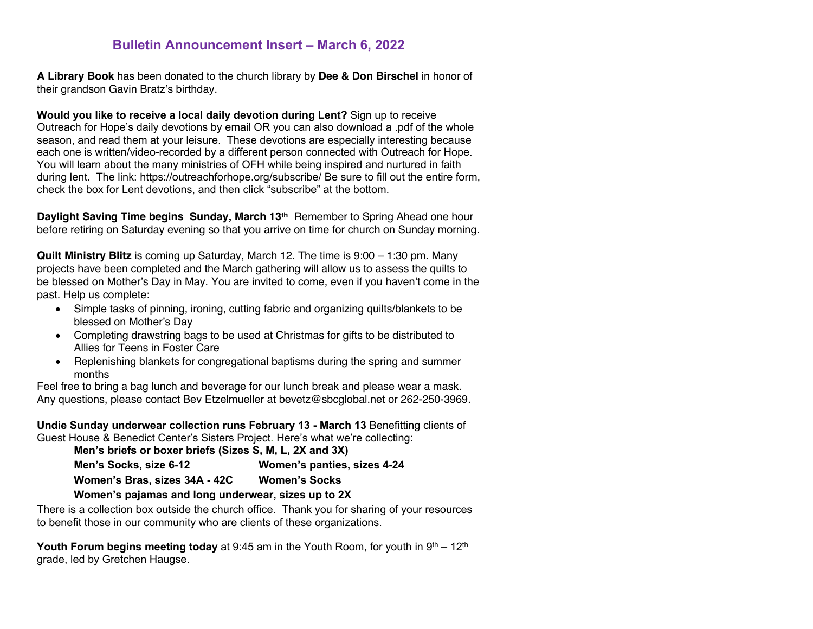### **Bulletin Announcement Insert – March 6, 2022**

**A Library Book** has been donated to the church library by **Dee & Don Birschel** in honor of their grandson Gavin Bratz's birthday.

**Would you like to receive a local daily devotion during Lent?** Sign up to receive Outreach for Hope's daily devotions by email OR you can also download a .pdf of the whole season, and read them at your leisure. These devotions are especially interesting because each one is written/video-recorded by a different person connected with Outreach for Hope. You will learn about the many ministries of OFH while being inspired and nurtured in faith during lent. The link: https://outreachforhope.org/subscribe/ Be sure to fill out the entire form, check the box for Lent devotions, and then click "subscribe" at the bottom.

**Daylight Saving Time begins Sunday, March 13th** Remember to Spring Ahead one hour before retiring on Saturday evening so that you arrive on time for church on Sunday morning.

**Quilt Ministry Blitz** is coming up Saturday, March 12. The time is 9:00 – 1:30 pm. Many projects have been completed and the March gathering will allow us to assess the quilts to be blessed on Mother's Day in May. You are invited to come, even if you haven't come in the past. Help us complete:

- Simple tasks of pinning, ironing, cutting fabric and organizing quilts/blankets to be blessed on Mother's Day
- Completing drawstring bags to be used at Christmas for gifts to be distributed to Allies for Teens in Foster Care
- Replenishing blankets for congregational baptisms during the spring and summer months

Feel free to bring a bag lunch and beverage for our lunch break and please wear a mask. Any questions, please contact Bev Etzelmueller at bevetz@sbcglobal.net or 262-250-3969.

**Undie Sunday underwear collection runs February 13 - March 13** Benefitting clients of Guest House & Benedict Center's Sisters Project. Here's what we're collecting:

| Men's briefs or boxer briefs (Sizes S, M, L, 2X and 3X) |                             |
|---------------------------------------------------------|-----------------------------|
| Men's Socks, size 6-12                                  | Women's panties, sizes 4-24 |
| Women's Bras, sizes 34A - 42C                           | <b>Women's Socks</b>        |
| Mencede nelembre and leno undemusentalente un to OV     |                             |

#### **Women's pajamas and long underwear, sizes up to 2X**

There is a collection box outside the church office. Thank you for sharing of your resources to benefit those in our community who are clients of these organizations.

**Youth Forum begins meeting today** at 9:45 am in the Youth Room, for youth in 9<sup>th</sup> – 12<sup>th</sup> grade, led by Gretchen Haugse.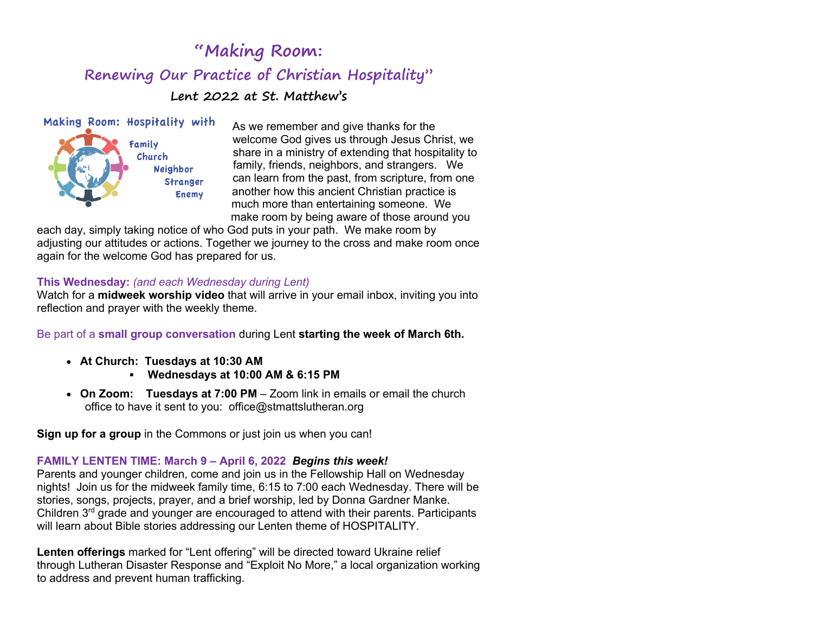# **"Making Room: Renewing Our Practice of Christian Hospitality" Lent 2022 at St. Matthew's**



As we remember and give thanks for the welcome God gives us through Jesus Christ, we share in a ministry of extending that hospitality to family, friends, neighbors, and strangers. We can learn from the past, from scripture, from one another how this ancient Christian practice is much more than entertaining someone. We make room by being aware of those around you

each day, simply taking notice of who God puts in your path. We make room by adjusting our attitudes or actions. Together we journey to the cross and make room once again for the welcome God has prepared for us.

### **This Wednesday:** *(and each Wednesday during Lent)*

Watch for a **midweek worship video** that will arrive in your email inbox, inviting you into reflection and prayer with the weekly theme.

Be part of a **small group conversation** during Lent **starting the week of March 6th.**

- • **At Church: Tuesdays at 10:30 AM**
	- § **Wednesdays at 10:00 AM & 6:15 PM**
- • **On Zoom: Tuesdays at 7:00 PM** Zoom link in emails or email the church office to have it sent to you: office@stmattslutheran.org

**Sign up for a group** in the Commons or just join us when you can!

### **FAMILY LENTEN TIME: March 9 – April 6, 2022** *Begins this week!*

Parents and younger children, come and join us in the Fellowship Hall on Wednesday nights! Join us for the midweek family time, 6:15 to 7:00 each Wednesday. There will be stories, songs, projects, prayer, and a brief worship, led by Donna Gardner Manke. Children  $3<sup>rd</sup>$  grade and younger are encouraged to attend with their parents. Participants will learn about Bible stories addressing our Lenten theme of HOSPITALITY.

**Lenten offerings** marked for "Lent offering" will be directed toward Ukraine relief through Lutheran Disaster Response and "Exploit No More," a local organization working to address and prevent human trafficking.